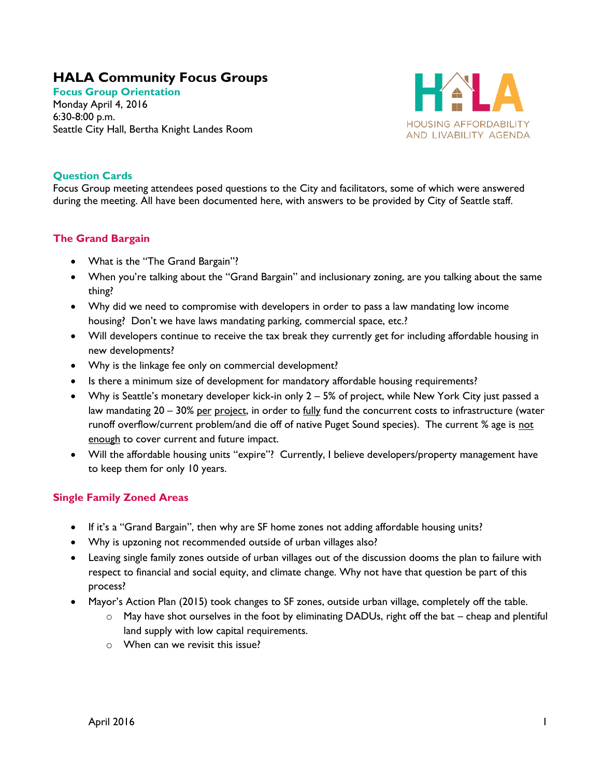# **HALA Community Focus Groups**

**Focus Group Orientation** Monday April 4, 2016 6:30-8:00 p.m. Seattle City Hall, Bertha Knight Landes Room



## **Question Cards**

Focus Group meeting attendees posed questions to the City and facilitators, some of which were answered during the meeting. All have been documented here, with answers to be provided by City of Seattle staff.

### **The Grand Bargain**

- What is the "The Grand Bargain"?
- When you're talking about the "Grand Bargain" and inclusionary zoning, are you talking about the same thing?
- Why did we need to compromise with developers in order to pass a law mandating low income housing? Don't we have laws mandating parking, commercial space, etc.?
- Will developers continue to receive the tax break they currently get for including affordable housing in new developments?
- Why is the linkage fee only on commercial development?
- Is there a minimum size of development for mandatory affordable housing requirements?
- Why is Seattle's monetary developer kick-in only 2 5% of project, while New York City just passed a law mandating 20 – 30% per project, in order to fully fund the concurrent costs to infrastructure (water runoff overflow/current problem/and die off of native Puget Sound species). The current % age is not enough to cover current and future impact.
- Will the affordable housing units "expire"? Currently, I believe developers/property management have to keep them for only 10 years.

### **Single Family Zoned Areas**

- If it's a "Grand Bargain", then why are SF home zones not adding affordable housing units?
- Why is upzoning not recommended outside of urban villages also?
- Leaving single family zones outside of urban villages out of the discussion dooms the plan to failure with respect to financial and social equity, and climate change. Why not have that question be part of this process?
- Mayor's Action Plan (2015) took changes to SF zones, outside urban village, completely off the table.
	- $\circ$  May have shot ourselves in the foot by eliminating DADUs, right off the bat cheap and plentiful land supply with low capital requirements.
	- $\circ$  When can we revisit this issue?